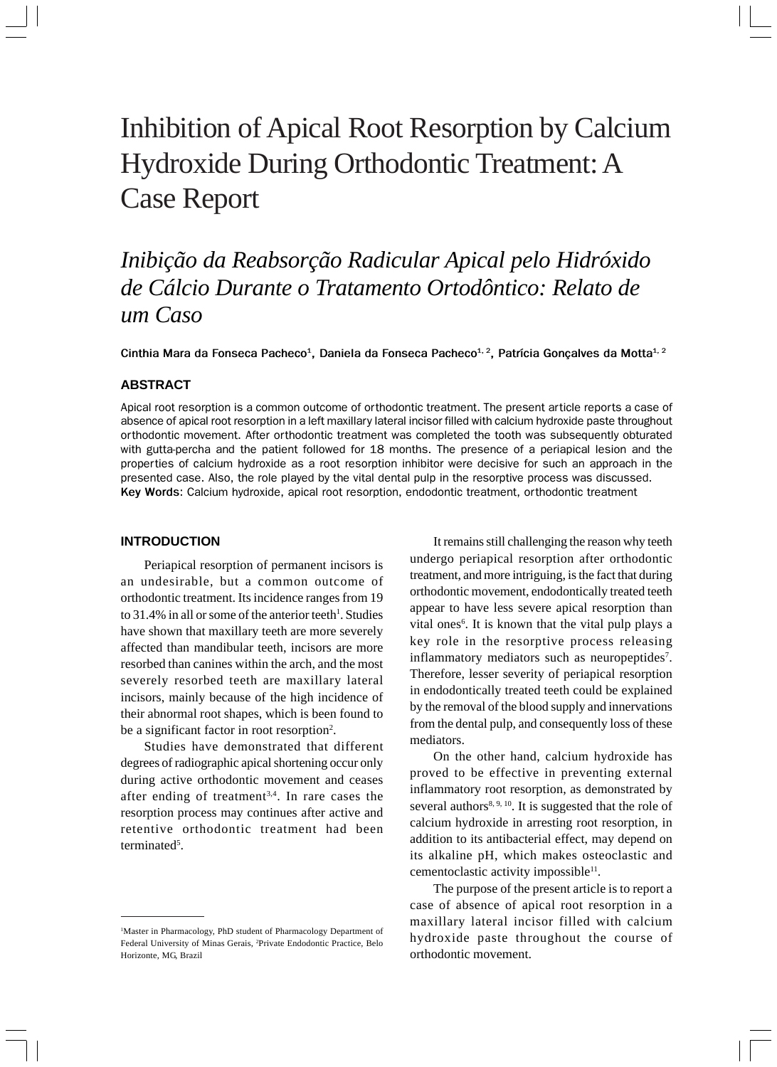# Inhibition of Apical Root Resorption by Calcium Hydroxide During Orthodontic Treatment: A Case Report

*Inibição da Reabsorção Radicular Apical pelo Hidróxido de Cálcio Durante o Tratamento Ortodôntico: Relato de um Caso*

Cinthia Mara da Fonseca Pacheco<sup>1</sup>, Daniela da Fonseca Pacheco<sup>1, 2</sup>, Patrícia Gonçalves da Motta<sup>1, 2</sup>

# **ABSTRACT**

Apical root resorption is a common outcome of orthodontic treatment. The present article reports a case of absence of apical root resorption in a left maxillary lateral incisor filled with calcium hydroxide paste throughout orthodontic movement. After orthodontic treatment was completed the tooth was subsequently obturated with gutta-percha and the patient followed for 18 months. The presence of a periapical lesion and the properties of calcium hydroxide as a root resorption inhibitor were decisive for such an approach in the presented case. Also, the role played by the vital dental pulp in the resorptive process was discussed. **Key Words**: Calcium hydroxide, apical root resorption, endodontic treatment, orthodontic treatment

# **INTRODUCTION**

Periapical resorption of permanent incisors is an undesirable, but a common outcome of orthodontic treatment. Its incidence ranges from 19 to 31.4% in all or some of the anterior teeth<sup>1</sup>. Studies have shown that maxillary teeth are more severely affected than mandibular teeth, incisors are more resorbed than canines within the arch, and the most severely resorbed teeth are maxillary lateral incisors, mainly because of the high incidence of their abnormal root shapes, which is been found to be a significant factor in root resorption<sup>2</sup>.

Studies have demonstrated that different degrees of radiographic apical shortening occur only during active orthodontic movement and ceases after ending of treatment<sup>3,4</sup>. In rare cases the resorption process may continues after active and retentive orthodontic treatment had been terminated<sup>5</sup>.

It remains still challenging the reason why teeth undergo periapical resorption after orthodontic treatment, and more intriguing, is the fact that during orthodontic movement, endodontically treated teeth appear to have less severe apical resorption than vital ones<sup>6</sup>. It is known that the vital pulp plays a key role in the resorptive process releasing inflammatory mediators such as neuropeptides<sup>7</sup>. Therefore, lesser severity of periapical resorption in endodontically treated teeth could be explained by the removal of the blood supply and innervations from the dental pulp, and consequently loss of these mediators.

On the other hand, calcium hydroxide has proved to be effective in preventing external inflammatory root resorption, as demonstrated by several authors<sup>8, 9, 10</sup>. It is suggested that the role of calcium hydroxide in arresting root resorption, in addition to its antibacterial effect, may depend on its alkaline pH, which makes osteoclastic and cementoclastic activity impossible<sup>11</sup>.

The purpose of the present article is to report a case of absence of apical root resorption in a maxillary lateral incisor filled with calcium hydroxide paste throughout the course of orthodontic movement.

<sup>1</sup> Master in Pharmacology, PhD student of Pharmacology Department of Federal University of Minas Gerais, 2 Private Endodontic Practice, Belo Horizonte, MG, Brazil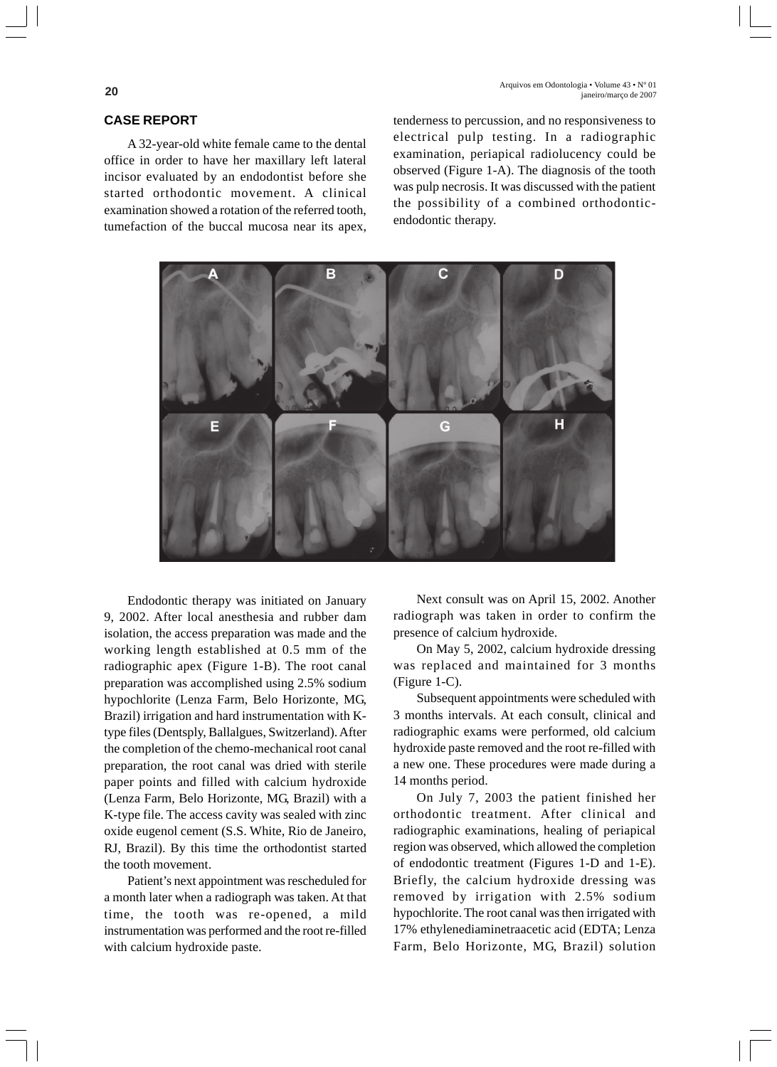**20** Arquivos em Odontologia • Volume 43 • N° 01 janeiro/março de 2007

# **CASE REPORT**

A 32-year-old white female came to the dental office in order to have her maxillary left lateral incisor evaluated by an endodontist before she started orthodontic movement. A clinical examination showed a rotation of the referred tooth, tumefaction of the buccal mucosa near its apex,

tenderness to percussion, and no responsiveness to electrical pulp testing. In a radiographic examination, periapical radiolucency could be observed (Figure 1-A). The diagnosis of the tooth was pulp necrosis. It was discussed with the patient the possibility of a combined orthodonticendodontic therapy.



Endodontic therapy was initiated on January 9, 2002. After local anesthesia and rubber dam isolation, the access preparation was made and the working length established at 0.5 mm of the radiographic apex (Figure 1-B). The root canal preparation was accomplished using 2.5% sodium hypochlorite (Lenza Farm, Belo Horizonte, MG, Brazil) irrigation and hard instrumentation with Ktype files (Dentsply, Ballalgues, Switzerland). After the completion of the chemo-mechanical root canal preparation, the root canal was dried with sterile paper points and filled with calcium hydroxide (Lenza Farm, Belo Horizonte, MG, Brazil) with a K-type file. The access cavity was sealed with zinc oxide eugenol cement (S.S. White, Rio de Janeiro, RJ, Brazil). By this time the orthodontist started the tooth movement.

Patient's next appointment was rescheduled for a month later when a radiograph was taken. At that time, the tooth was re-opened, a mild instrumentation was performed and the root re-filled with calcium hydroxide paste.

Next consult was on April 15, 2002. Another radiograph was taken in order to confirm the presence of calcium hydroxide.

On May 5, 2002, calcium hydroxide dressing was replaced and maintained for 3 months (Figure 1-C).

Subsequent appointments were scheduled with 3 months intervals. At each consult, clinical and radiographic exams were performed, old calcium hydroxide paste removed and the root re-filled with a new one. These procedures were made during a 14 months period.

On July 7, 2003 the patient finished her orthodontic treatment. After clinical and radiographic examinations, healing of periapical region was observed, which allowed the completion of endodontic treatment (Figures 1-D and 1-E). Briefly, the calcium hydroxide dressing was removed by irrigation with 2.5% sodium hypochlorite. The root canal was then irrigated with 17% ethylenediaminetraacetic acid (EDTA; Lenza Farm, Belo Horizonte, MG, Brazil) solution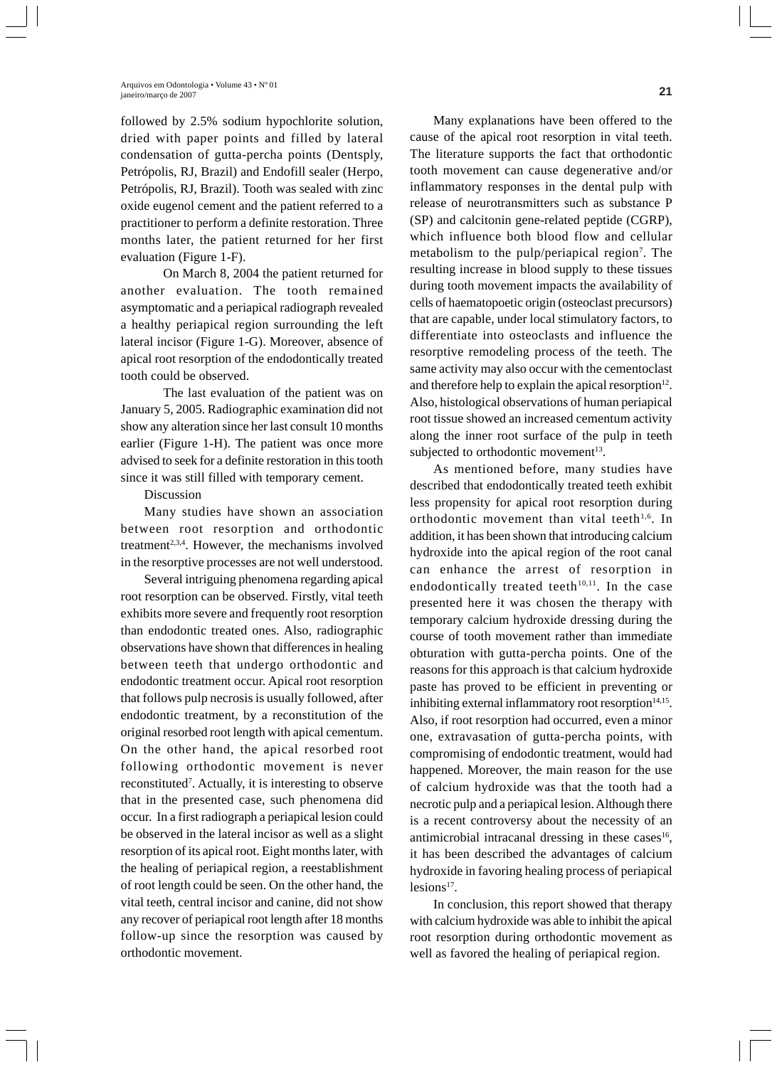### **21** Arquivos em Odontologia • Volume 43 • Nº 01 janeiro/março de 2007

followed by 2.5% sodium hypochlorite solution, dried with paper points and filled by lateral condensation of gutta-percha points (Dentsply, Petrópolis, RJ, Brazil) and Endofill sealer (Herpo, Petrópolis, RJ, Brazil). Tooth was sealed with zinc oxide eugenol cement and the patient referred to a practitioner to perform a definite restoration. Three months later, the patient returned for her first evaluation (Figure 1-F).

On March 8, 2004 the patient returned for another evaluation. The tooth remained asymptomatic and a periapical radiograph revealed a healthy periapical region surrounding the left lateral incisor (Figure 1-G). Moreover, absence of apical root resorption of the endodontically treated tooth could be observed.

The last evaluation of the patient was on January 5, 2005. Radiographic examination did not show any alteration since her last consult 10 months earlier (Figure 1-H). The patient was once more advised to seek for a definite restoration in this tooth since it was still filled with temporary cement.

## Discussion

Many studies have shown an association between root resorption and orthodontic treatment<sup>2,3,4</sup>. However, the mechanisms involved in the resorptive processes are not well understood.

Several intriguing phenomena regarding apical root resorption can be observed. Firstly, vital teeth exhibits more severe and frequently root resorption than endodontic treated ones. Also, radiographic observations have shown that differences in healing between teeth that undergo orthodontic and endodontic treatment occur. Apical root resorption that follows pulp necrosis is usually followed, after endodontic treatment, by a reconstitution of the original resorbed root length with apical cementum. On the other hand, the apical resorbed root following orthodontic movement is never reconstituted<sup>7</sup>. Actually, it is interesting to observe that in the presented case, such phenomena did occur. In a first radiograph a periapical lesion could be observed in the lateral incisor as well as a slight resorption of its apical root. Eight months later, with the healing of periapical region, a reestablishment of root length could be seen. On the other hand, the vital teeth, central incisor and canine, did not show any recover of periapical root length after 18 months follow-up since the resorption was caused by orthodontic movement.

Many explanations have been offered to the cause of the apical root resorption in vital teeth. The literature supports the fact that orthodontic tooth movement can cause degenerative and/or inflammatory responses in the dental pulp with release of neurotransmitters such as substance P (SP) and calcitonin gene-related peptide (CGRP), which influence both blood flow and cellular metabolism to the pulp/periapical region<sup>7</sup>. The resulting increase in blood supply to these tissues during tooth movement impacts the availability of cells of haematopoetic origin (osteoclast precursors) that are capable, under local stimulatory factors, to differentiate into osteoclasts and influence the resorptive remodeling process of the teeth. The same activity may also occur with the cementoclast and therefore help to explain the apical resorption $12$ . Also, histological observations of human periapical root tissue showed an increased cementum activity along the inner root surface of the pulp in teeth subjected to orthodontic movement<sup>13</sup>.

As mentioned before, many studies have described that endodontically treated teeth exhibit less propensity for apical root resorption during orthodontic movement than vital teeth<sup>1,6</sup>. In addition, it has been shown that introducing calcium hydroxide into the apical region of the root canal can enhance the arrest of resorption in endodontically treated teeth $10,11$ . In the case presented here it was chosen the therapy with temporary calcium hydroxide dressing during the course of tooth movement rather than immediate obturation with gutta-percha points. One of the reasons for this approach is that calcium hydroxide paste has proved to be efficient in preventing or inhibiting external inflammatory root resorption $14,15$ . Also, if root resorption had occurred, even a minor one, extravasation of gutta-percha points, with compromising of endodontic treatment, would had happened. Moreover, the main reason for the use of calcium hydroxide was that the tooth had a necrotic pulp and a periapical lesion. Although there is a recent controversy about the necessity of an antimicrobial intracanal dressing in these cases $16$ , it has been described the advantages of calcium hydroxide in favoring healing process of periapical  $l$ esions<sup>17</sup>.

In conclusion, this report showed that therapy with calcium hydroxide was able to inhibit the apical root resorption during orthodontic movement as well as favored the healing of periapical region.